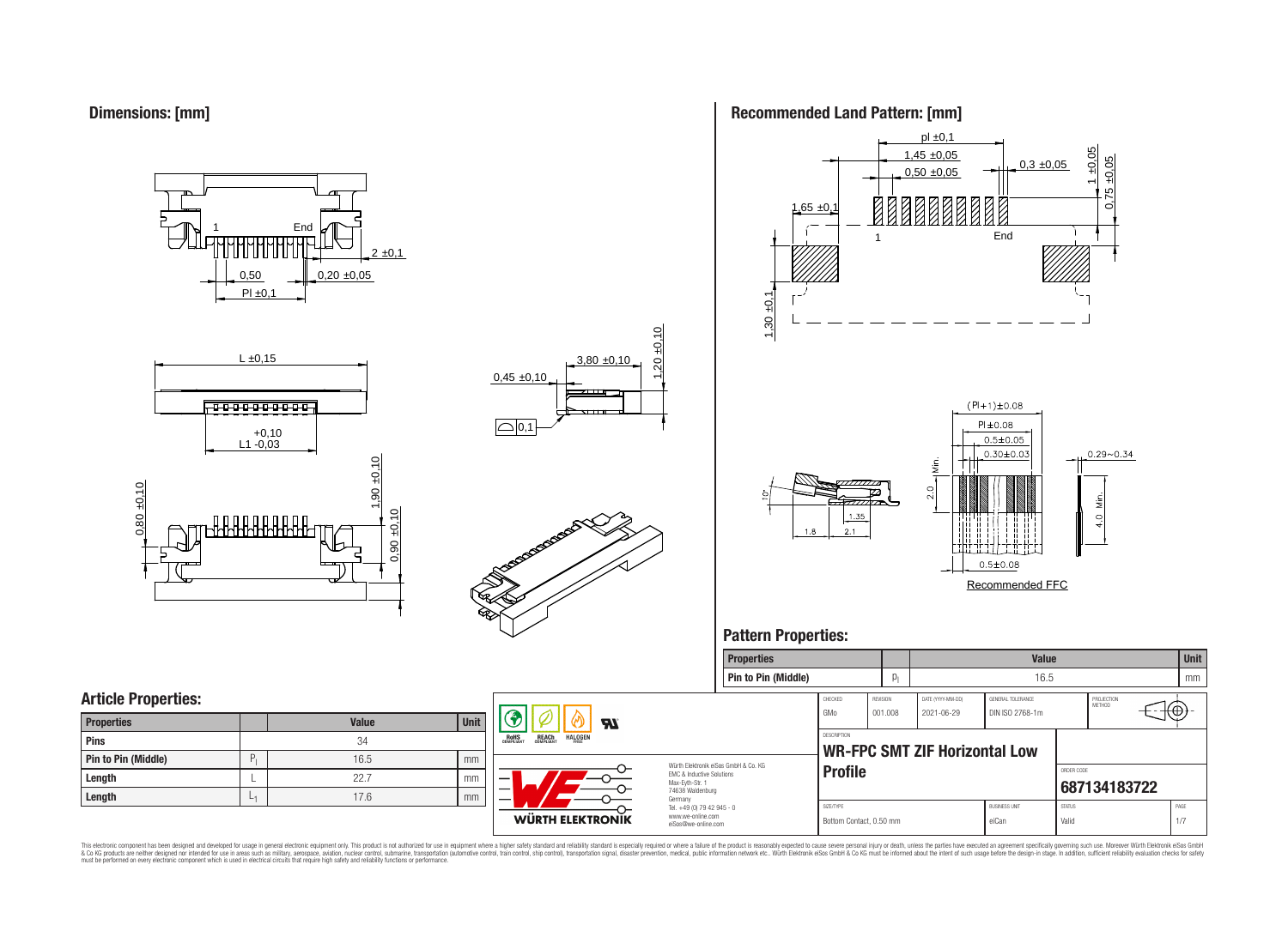**Dimensions: [mm]**

0,50  $PI \pm 0.1$  $0.20 \pm 0.05$  $2 \pm 0,1$ **End** 







# **Recommended Land Pattern: [mm]**



Recommended FFC

**Properties Value Unit**

# **Pattern Properties:**

|                            |              |      |                                                                                            | <b>Pin to Pin (Middle)</b>           |                                      |          |                                 | 16.5                 |                        |                      |             | mm   |
|----------------------------|--------------|------|--------------------------------------------------------------------------------------------|--------------------------------------|--------------------------------------|----------|---------------------------------|----------------------|------------------------|----------------------|-------------|------|
| <b>Article Properties:</b> |              |      |                                                                                            |                                      | CHECKED<br>GMo                       | REVISION | DATE (YYYY-MM-DD)<br>2021-06-29 | GENERAL TOLERANCE    |                        | PROJECTION<br>METHOD | $f(\theta)$ |      |
| <b>Properties</b>          | <b>Value</b> | Unit | <b>Al</b>                                                                                  |                                      |                                      | 001.008  |                                 | DIN ISO 2768-1m      |                        |                      |             |      |
| <b>Pins</b>                | 34           |      | <b>REACH</b><br>COMPLIANT<br><b>ROHS</b><br>COMPLIANT<br><b>HALOGEN</b>                    |                                      | DESCRIPTION                          |          |                                 |                      |                        |                      |             |      |
| Pin to Pin (Middle)        | 16.5         | mm   |                                                                                            | Würth Elektronik eiSos GmbH & Co. KG |                                      |          | WR-FPC SMT ZIF Horizontal Low   |                      |                        |                      |             |      |
| Length                     | 22.7         | mm   | EMC & Inductive Solutions<br>—<br>Max-Eyth-Str. 1                                          |                                      | <b>Profile</b>                       |          |                                 |                      | ORDER CODE             | 687134183722         |             |      |
| Length                     | 17.6         | mm   | 74638 Waldenburg<br>$\overline{\phantom{m}}$<br>Germany                                    |                                      |                                      |          |                                 | <b>BUSINESS UNIT</b> |                        |                      |             | PAGE |
|                            |              |      | Tel. +49 (0) 79 42 945 - 0<br>www.we-online.com<br>WÜRTH ELEKTRONIK<br>eiSos@we-online.com |                                      | SIZE/TYPE<br>Bottom Contact, 0.50 mm |          |                                 | eiCan                | <b>STATUS</b><br>Valic |                      |             | 1/7  |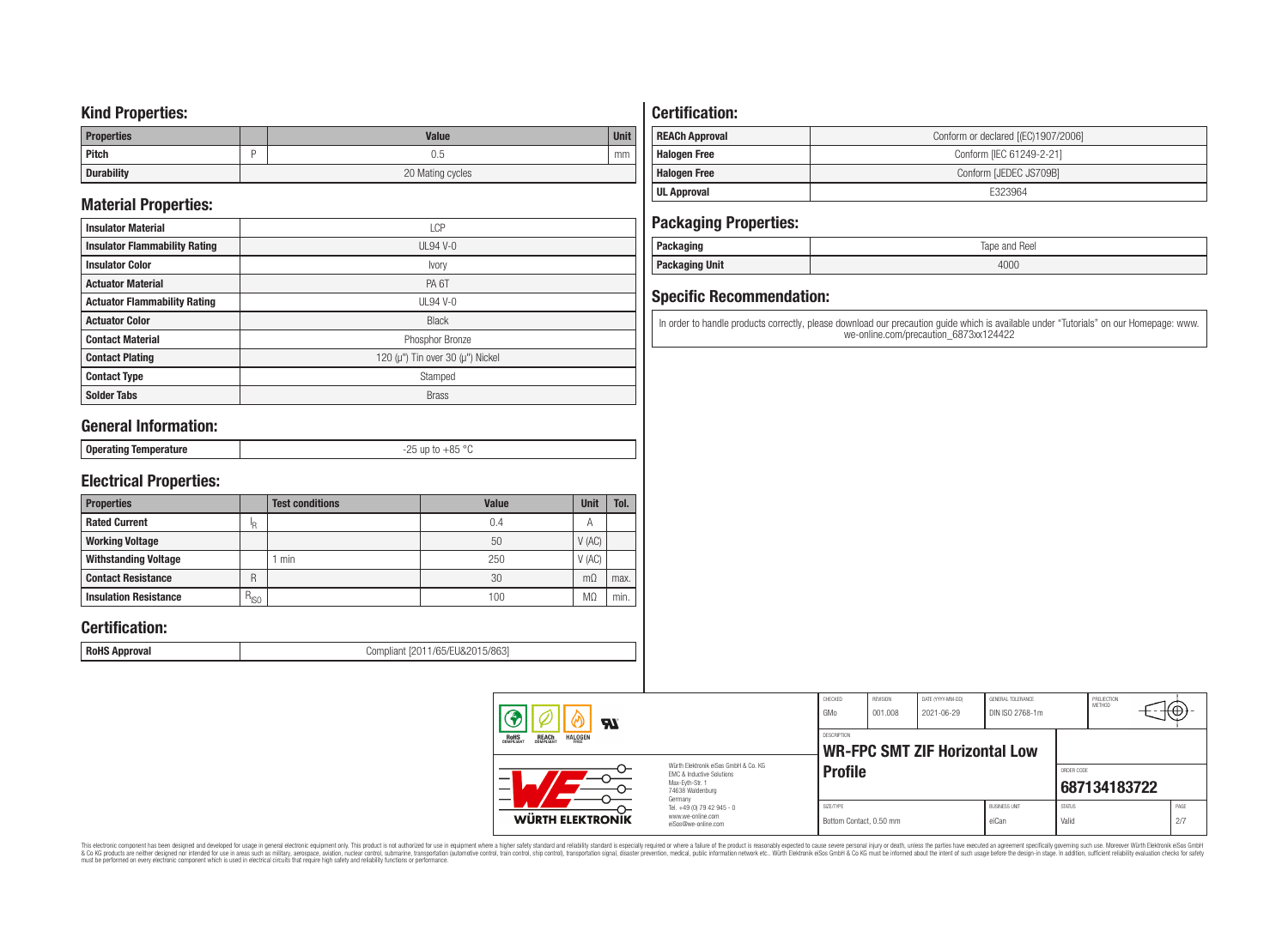### **Kind Properties:**

| <b>Properties</b> |                  | <b>Value</b> | <b>Unit</b> |
|-------------------|------------------|--------------|-------------|
| Pitch             |                  | U.5          | mm          |
| <b>Durability</b> | 20 Mating cycles |              |             |

# **Material Properties:**

| <b>Insulator Material</b>            | <b>LCP</b>                                   |
|--------------------------------------|----------------------------------------------|
| <b>Insulator Flammability Rating</b> | $UL94$ V-0                                   |
| <b>Insulator Color</b>               | Ivory                                        |
| <b>Actuator Material</b>             | PA <sub>6</sub> T                            |
| <b>Actuator Flammability Rating</b>  | <b>UL94 V-0</b>                              |
| <b>Actuator Color</b>                | <b>Black</b>                                 |
| <b>Contact Material</b>              | Phosphor Bronze                              |
| <b>Contact Plating</b>               | 120 ( $\mu$ ") Tin over 30 ( $\mu$ ") Nickel |
| <b>Contact Type</b>                  | Stamped                                      |
| <b>Solder Tabs</b>                   | <b>Brass</b>                                 |

## **General Information:**

# **Electrical Properties:**

| <b>Properties</b>            |               | <b>Test conditions</b> | Value | <b>Unit</b>    | Tol. |
|------------------------------|---------------|------------------------|-------|----------------|------|
| <b>Rated Current</b>         | ΙR            |                        | 0.4   | $\overline{A}$ |      |
| <b>Working Voltage</b>       |               |                        | 50    | V(AC)          |      |
| <b>Withstanding Voltage</b>  |               | min                    | 250   | V(AC)          |      |
| <b>Contact Resistance</b>    | R             |                        | 30    | $m\Omega$      | max. |
| <b>Insulation Resistance</b> | $R_{\mid SO}$ |                        | 100   | M.             | min. |

# **Certification:**

**RoHS Approval RoHS Approval Compliant** [2011/65/EU&2015/863]

# **Certification:**

| <b>REACh Approval</b> | Conform or declared [(EC)1907/2006] |
|-----------------------|-------------------------------------|
| <b>Halogen Free</b>   | Conform [IEC 61249-2-21]            |
| <b>Halogen Free</b>   | Conform [JEDEC JS709B]              |
| <b>UL Approval</b>    | E323964                             |

## **Packaging Properties:**

| . aundyniy                | Reel<br>lape<br>and |
|---------------------------|---------------------|
| <b>Unit</b><br>rackayılıy | 4000                |

# **Specific Recommendation:**

In order to handle products correctly, please download our precaution guide which is available under "Tutorials" on our Homepage: www. we-online.com/precaution\_6873xx124422

| <b>HI</b>                                                               |                                                                                                                     | CHECKED<br>GMo                       | <b>REVISION</b><br>001.008 | DATE (YYYY-MM-DD)<br>2021-06-29      | GENERAL TOLERANCE<br>DIN ISO 2768-1m |                        | PROJECTION<br><b>METHOD</b> | ιτΨ         |  |
|-------------------------------------------------------------------------|---------------------------------------------------------------------------------------------------------------------|--------------------------------------|----------------------------|--------------------------------------|--------------------------------------|------------------------|-----------------------------|-------------|--|
| <b>ROHS</b><br>COMPLIANT<br><b>REACH</b><br>COMPLIANT<br><b>HALOGEN</b> |                                                                                                                     | <b>DESCRIPTION</b>                   |                            | <b>WR-FPC SMT ZIF Horizontal Low</b> |                                      |                        |                             |             |  |
|                                                                         | Würth Elektronik eiSos GmbH & Co. KG<br>EMC & Inductive Solutions<br>Max-Evth-Str. 1<br>74638 Waldenburg<br>Germany | <b>Profile</b>                       |                            |                                      |                                      | ORDER CODE             | 687134183722                |             |  |
| WÜRTH ELEKTRONIK                                                        | Tel. +49 (0) 79 42 945 - 0<br>www.we-online.com<br>eiSos@we-online.com                                              | SIZE/TYPE<br>Bottom Contact, 0.50 mm |                            |                                      | <b>BUSINESS UNIT</b><br>eiCan        | <b>STATUS</b><br>Valid |                             | PAGE<br>2/7 |  |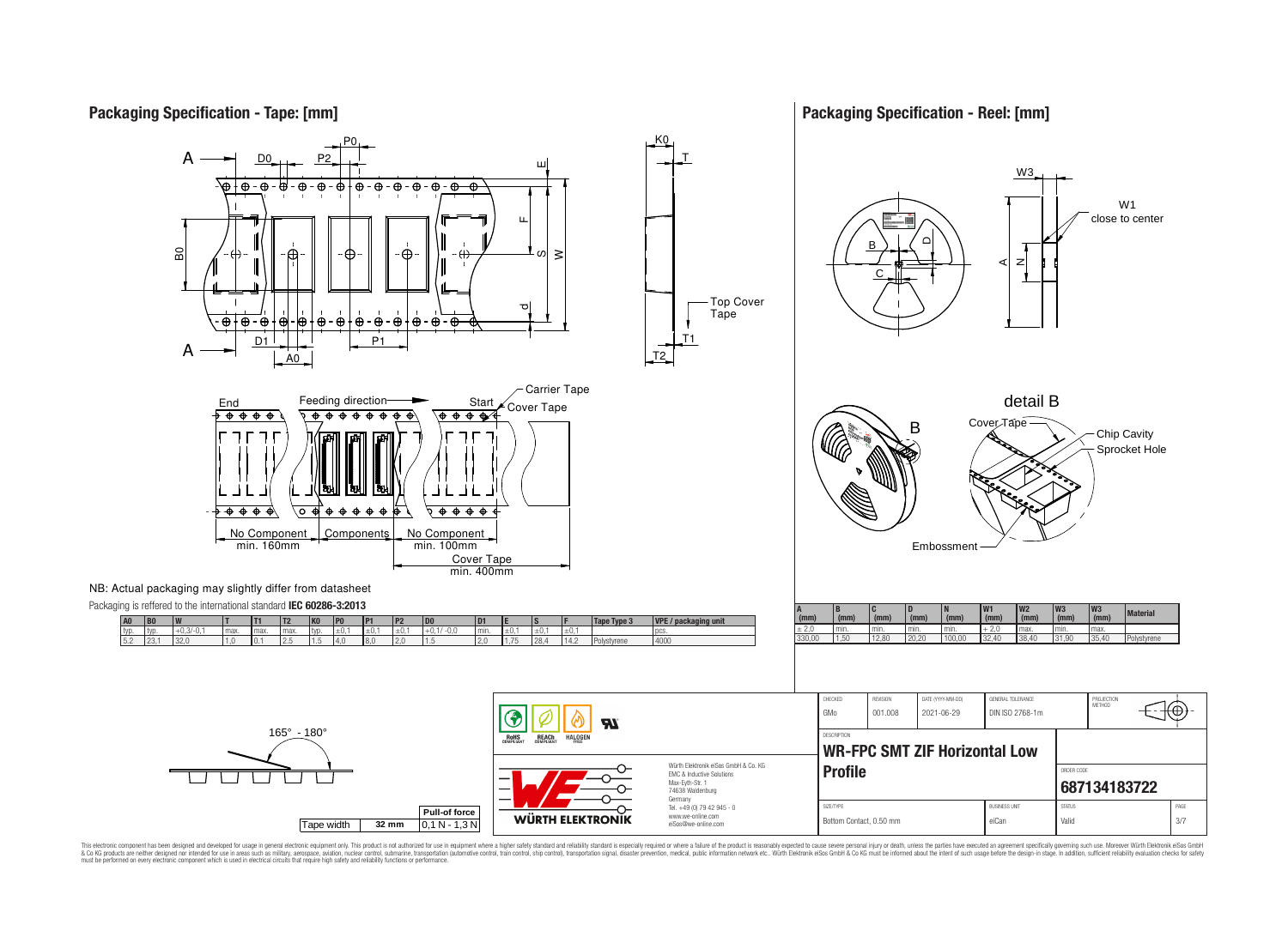## **Packaging Specification - Tape: [mm]**

### **Packaging Specification - Reel: [mm]**







This electronic component has been designed and developed for usage in general electronic equipment only. This product is not authorized for use in equipment where a higher safely standard and reliability standard si espec & Ook product a label and the membed of the seasuch as marked and as which such a membed and the such assume that income in the seasuch and the simulation and the such assume that include to the such a membed and the such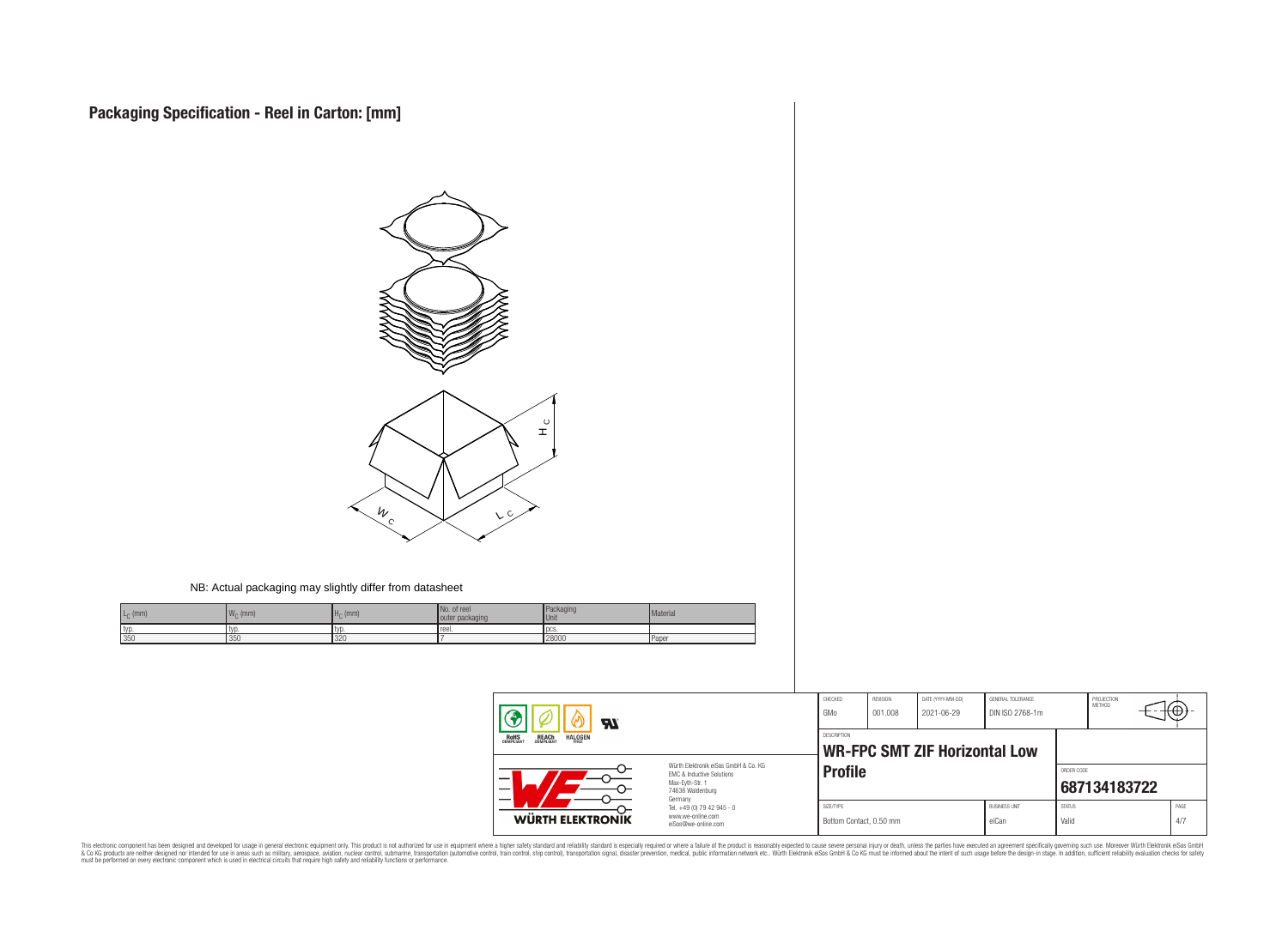

#### NB: Actual packaging may slightly differ from datasheet

| $L_C$ (mm) | 144<br>$W_C$ (mm) | $H0$ (mm) | No. of ree<br>outer packaging | Packaging<br><b>Unit</b> | Material |
|------------|-------------------|-----------|-------------------------------|--------------------------|----------|
| typ        | typ               |           | reel.                         | <b>DCS</b>               |          |
| 350        | 1350              | 320       |                               | 28000                    | Paper    |

| <b>RI</b>                                                               |                                                                                                                     | CHECKED<br>GMo                       | REVISION<br>001.008                          | DATE (YYYY-MM-DD)<br>2021-06-29 | GENERAL TOLERANCE<br>DIN ISO 2768-1m |                        | PROJECTION<br><b>METHOD</b> | ₩Œ          |
|-------------------------------------------------------------------------|---------------------------------------------------------------------------------------------------------------------|--------------------------------------|----------------------------------------------|---------------------------------|--------------------------------------|------------------------|-----------------------------|-------------|
| <b>REACH</b><br>COMPLIANT<br><b>HALOGEN</b><br><b>ROHS</b><br>COMPLIANT |                                                                                                                     |                                      | DESCRIPTION<br>WR-FPC SMT ZIF Horizontal Low |                                 |                                      |                        |                             |             |
| –                                                                       | Würth Elektronik eiSos GmbH & Co. KG<br>EMC & Inductive Solutions<br>Max-Evth-Str. 1<br>74638 Waldenburg<br>Germany | <b>Profile</b>                       |                                              |                                 |                                      | ORDER CODE             | 687134183722                |             |
| WÜRTH ELEKTRONIK                                                        | Tel. +49 (0) 79 42 945 - 0<br>www.we-online.com<br>eiSos@we-online.com                                              | SIZE/TYPE<br>Bottom Contact, 0.50 mm |                                              |                                 | <b>BUSINESS UNIT</b><br>eiCan        | <b>STATUS</b><br>Valid |                             | PAGE<br>4/7 |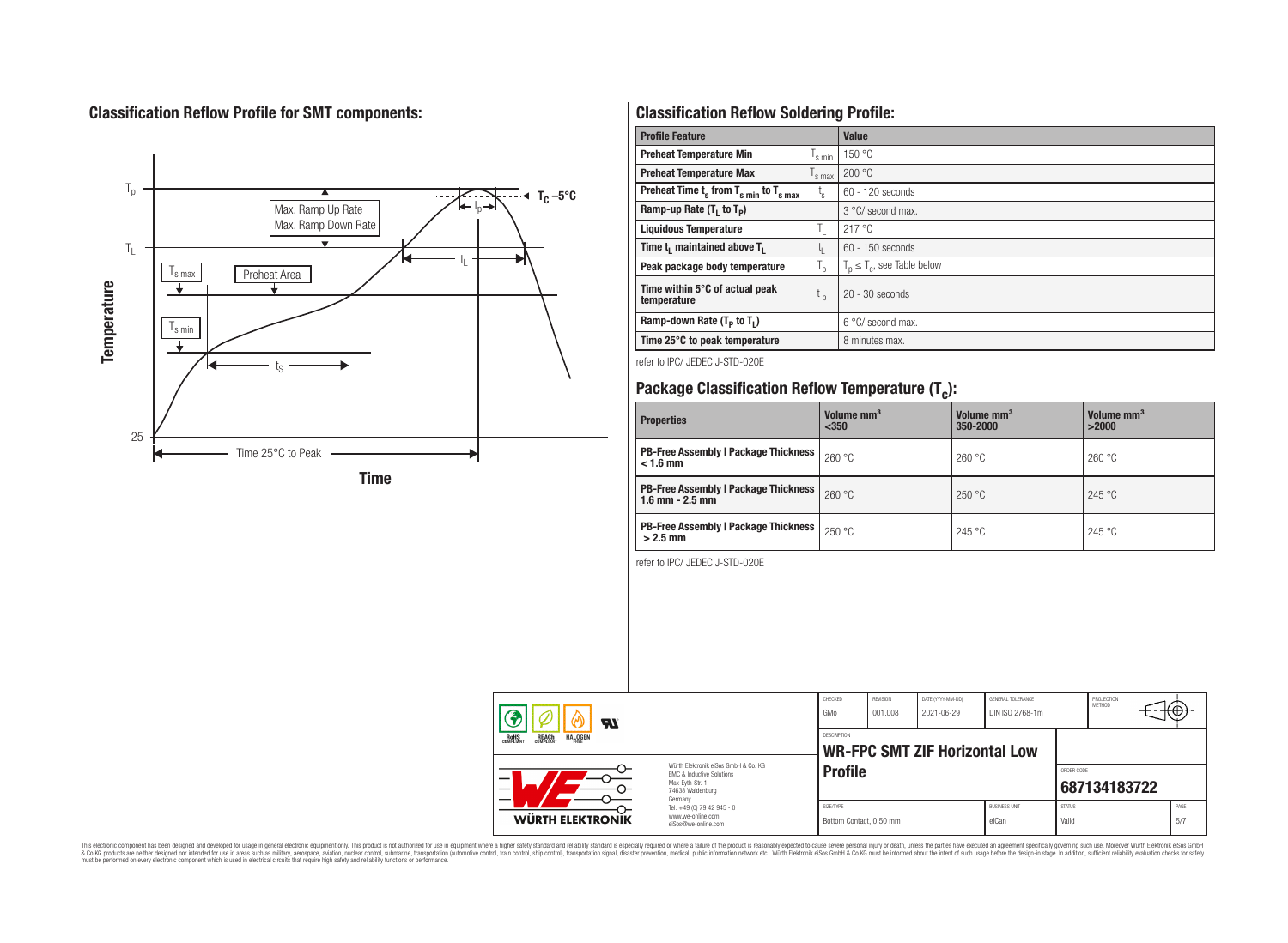# **Classification Reflow Profile for SMT components:**



# **Classification Reflow Soldering Profile:**

| <b>Profile Feature</b>                              |                    | <b>Value</b>                     |
|-----------------------------------------------------|--------------------|----------------------------------|
| <b>Preheat Temperature Min</b>                      | $\frac{1}{s}$ min  | 150 °C                           |
| <b>Preheat Temperature Max</b>                      | $\mathsf{I}$ s max | 200 °C                           |
| Preheat Time $t_s$ from $T_{s min}$ to $T_{s max}$  | t,                 | $60 - 120$ seconds               |
| Ramp-up Rate $(T_1$ to $T_p$ )                      |                    | $3^{\circ}$ C/ second max.       |
| <b>Liquidous Temperature</b>                        | T,                 | 217 °C                           |
| Time t <sub>i</sub> maintained above T <sub>1</sub> | t,                 | 60 - 150 seconds                 |
| Peak package body temperature                       | T <sub>o</sub>     | $T_p \leq T_c$ , see Table below |
| Time within 5°C of actual peak<br>temperature       | $t_{p}$            | $20 - 30$ seconds                |
| Ramp-down Rate $(T_p$ to $T_1$ )                    |                    | $6^{\circ}$ C/ second max.       |
| Time 25°C to peak temperature                       |                    | 8 minutes max.                   |

refer to IPC/ JEDEC J-STD-020E

# **Package Classification Reflow Temperature (T<sup>c</sup> ):**

| <b>Properties</b>                                                    | Volume mm <sup>3</sup><br>< 350 | Volume mm <sup>3</sup><br>350-2000 | Volume mm <sup>3</sup><br>>2000 |
|----------------------------------------------------------------------|---------------------------------|------------------------------------|---------------------------------|
| <b>PB-Free Assembly   Package Thickness  </b><br>$< 1.6$ mm          | 260 °C                          | 260 °C                             | 260 °C                          |
| <b>PB-Free Assembly   Package Thickness  </b><br>$1.6$ mm $- 2.5$ mm | 260 °C                          | 250 °C                             | 245 °C                          |
| <b>PB-Free Assembly   Package Thickness  </b><br>$>2.5$ mm           | 250 °C                          | 245 °C                             | 245 °C                          |

refer to IPC/ JEDEC J-STD-020E

| Яī<br><b>REACH</b><br>COMPLIANT<br><b>HALOGEN</b><br><b>ROHS</b><br>COMPLIANT<br>Würth Elektronik eiSos GmbH & Co. KG<br>FMC & Inductive Solutions<br>—<br>Max-Evth-Str. 1<br>$\overline{\phantom{0}}$<br>74638 Waldenburg<br>Germany |                                                                        | CHECKED<br>GMo                       | <b>REVISION</b><br>001.008           | DATE (YYYY-MM-DD)<br>2021-06-29 | GENERAL TOLERANCE<br>DIN ISO 2768-1m |                        | PROJECTION<br><b>METHOD</b> |                            | ᠇ᡃᠠᡃᡛᢧ      |
|---------------------------------------------------------------------------------------------------------------------------------------------------------------------------------------------------------------------------------------|------------------------------------------------------------------------|--------------------------------------|--------------------------------------|---------------------------------|--------------------------------------|------------------------|-----------------------------|----------------------------|-------------|
|                                                                                                                                                                                                                                       |                                                                        | <b>DESCRIPTION</b>                   | <b>WR-FPC SMT ZIF Horizontal Low</b> |                                 |                                      |                        |                             |                            |             |
|                                                                                                                                                                                                                                       |                                                                        |                                      | <b>Profile</b>                       |                                 |                                      |                        |                             | ORDER CODE<br>687134183722 |             |
| WÜRTH ELEKTRONIK                                                                                                                                                                                                                      | Tel. +49 (0) 79 42 945 - 0<br>www.we-online.com<br>eiSos@we-online.com | SIZE/TYPE<br>Bottom Contact, 0.50 mm |                                      |                                 | <b>BUSINESS UNIT</b><br>eiCan        | <b>STATUS</b><br>Valid |                             |                            | PAGE<br>5/7 |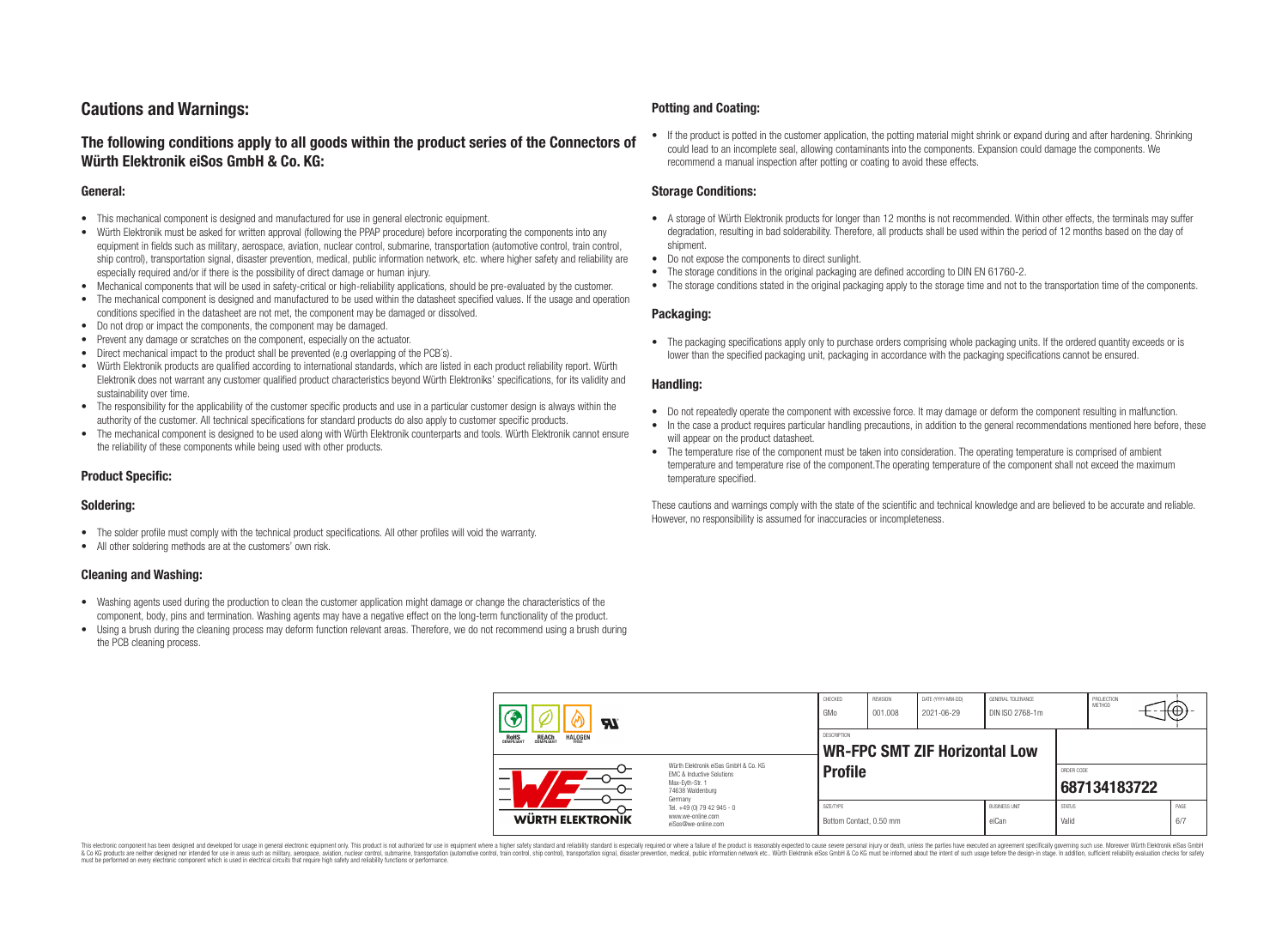# **Cautions and Warnings:**

### **The following conditions apply to all goods within the product series of the Connectors of Würth Elektronik eiSos GmbH & Co. KG:**

#### **General:**

- This mechanical component is designed and manufactured for use in general electronic equipment.
- Würth Elektronik must be asked for written approval (following the PPAP procedure) before incorporating the components into any equipment in fields such as military, aerospace, aviation, nuclear control, submarine, transportation (automotive control, train control, ship control), transportation signal, disaster prevention, medical, public information network, etc. where higher safety and reliability are especially required and/or if there is the possibility of direct damage or human injury.
- Mechanical components that will be used in safety-critical or high-reliability applications, should be pre-evaluated by the customer.
- The mechanical component is designed and manufactured to be used within the datasheet specified values. If the usage and operation conditions specified in the datasheet are not met, the component may be damaged or dissolved.
- Do not drop or impact the components, the component may be damaged.
- Prevent any damage or scratches on the component, especially on the actuator.
- Direct mechanical impact to the product shall be prevented (e.g overlapping of the PCB's).
- Würth Elektronik products are qualified according to international standards, which are listed in each product reliability report. Würth Elektronik does not warrant any customer qualified product characteristics beyond Würth Elektroniks' specifications, for its validity and sustainability over time.
- The responsibility for the applicability of the customer specific products and use in a particular customer design is always within the authority of the customer. All technical specifications for standard products do also apply to customer specific products.
- The mechanical component is designed to be used along with Würth Elektronik counterparts and tools. Würth Elektronik cannot ensure the reliability of these components while being used with other products.

#### **Product Specific:**

#### **Soldering:**

- The solder profile must comply with the technical product specifications. All other profiles will void the warranty.
- All other soldering methods are at the customers' own risk.

#### **Cleaning and Washing:**

- Washing agents used during the production to clean the customer application might damage or change the characteristics of the component, body, pins and termination. Washing agents may have a negative effect on the long-term functionality of the product.
- Using a brush during the cleaning process may deform function relevant areas. Therefore, we do not recommend using a brush during the PCB cleaning process.

#### **Potting and Coating:**

• If the product is potted in the customer application, the potting material might shrink or expand during and after hardening. Shrinking could lead to an incomplete seal, allowing contaminants into the components. Expansion could damage the components. We recommend a manual inspection after potting or coating to avoid these effects.

#### **Storage Conditions:**

- A storage of Würth Elektronik products for longer than 12 months is not recommended. Within other effects, the terminals may suffer degradation, resulting in bad solderability. Therefore, all products shall be used within the period of 12 months based on the day of shipment.
- Do not expose the components to direct sunlight.
- The storage conditions in the original packaging are defined according to DIN EN 61760-2.
- The storage conditions stated in the original packaging apply to the storage time and not to the transportation time of the components.

#### **Packaging:**

• The packaging specifications apply only to purchase orders comprising whole packaging units. If the ordered quantity exceeds or is lower than the specified packaging unit, packaging in accordance with the packaging specifications cannot be ensured.

#### **Handling:**

- Do not repeatedly operate the component with excessive force. It may damage or deform the component resulting in malfunction.
- In the case a product requires particular handling precautions, in addition to the general recommendations mentioned here before, these will appear on the product datasheet
- The temperature rise of the component must be taken into consideration. The operating temperature is comprised of ambient temperature and temperature rise of the component.The operating temperature of the component shall not exceed the maximum temperature specified.

These cautions and warnings comply with the state of the scientific and technical knowledge and are believed to be accurate and reliable. However, no responsibility is assumed for inaccuracies or incompleteness.

| Яľ<br><b>REACH</b><br>COMPLIANT<br><b>HALOGEN</b><br><b>ROHS</b><br>COMPLIANT<br>Würth Flektronik eiSos GmbH & Co. KG<br>FMC & Inductive Solutions<br>Max-Evth-Str. 1<br>74638 Waldenburg<br>Germany |                                                                        | CHECKED<br>GMo                       | REVISION<br>001.008 | DATE (YYYY-MM-DD)<br>2021-06-29      | GENERAL TOLERANCE<br>DIN ISO 2768-1m |                        | PROJECTION<br><b>METHOD</b> | ₩₩.         |
|------------------------------------------------------------------------------------------------------------------------------------------------------------------------------------------------------|------------------------------------------------------------------------|--------------------------------------|---------------------|--------------------------------------|--------------------------------------|------------------------|-----------------------------|-------------|
|                                                                                                                                                                                                      |                                                                        | DESCRIPTION                          |                     | <b>WR-FPC SMT ZIF Horizontal Low</b> |                                      |                        |                             |             |
|                                                                                                                                                                                                      |                                                                        | <b>Profile</b>                       |                     |                                      |                                      |                        | ORDER CODE<br>687134183722  |             |
| <b>WÜRTH ELEKTRONIK</b>                                                                                                                                                                              | Tel. +49 (0) 79 42 945 - 0<br>www.we-online.com<br>eiSos@we-online.com | SIZE/TYPE<br>Bottom Contact, 0.50 mm |                     |                                      | <b>BUSINESS UNIT</b><br>eiCan        | <b>STATUS</b><br>Valid |                             | PAGE<br>6/7 |

This electronic component has been designed and developed for usage in general electronic equipment only. This product is not authorized for use in equipment where a higher safety standard and reliability standard si espec & Ook product a label and the membed of the seasuch as marked and as which such a membed and the such assume that income in the seasuch and the simulation and the such assume that include to the such a membed and the such